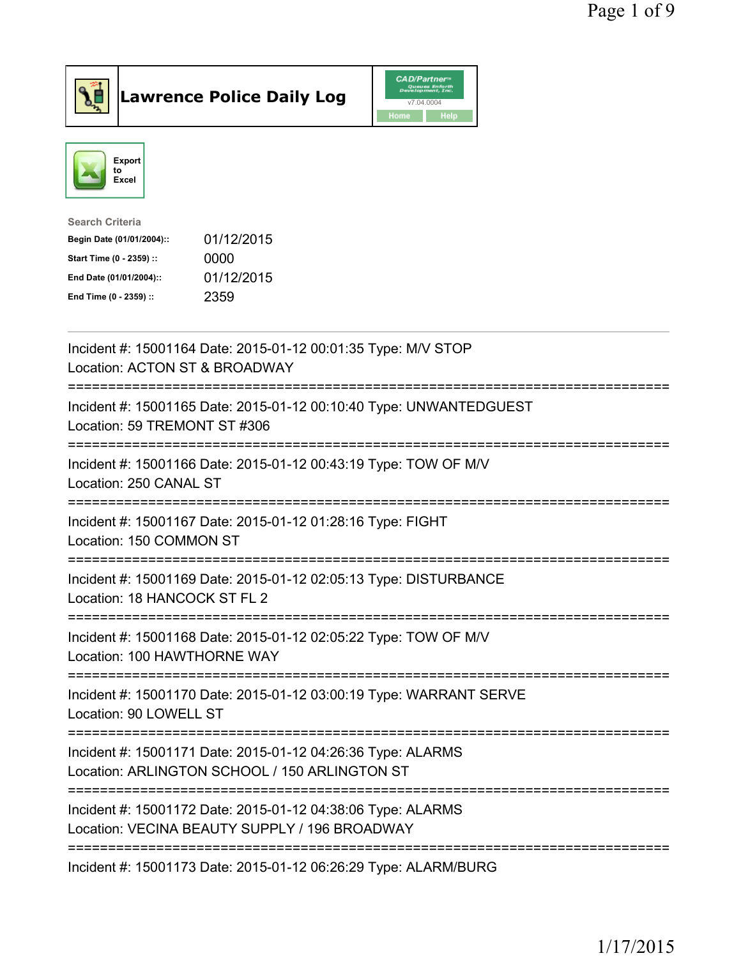



| <b>Search Criteria</b>    |            |
|---------------------------|------------|
| Begin Date (01/01/2004):: | 01/12/2015 |
| Start Time (0 - 2359) ::  | 0000       |
| End Date (01/01/2004)::   | 01/12/2015 |
| End Time (0 - 2359) ::    | 2359       |
|                           |            |

| Incident #: 15001164 Date: 2015-01-12 00:01:35 Type: M/V STOP<br>Location: ACTON ST & BROADWAY                                                       |
|------------------------------------------------------------------------------------------------------------------------------------------------------|
| Incident #: 15001165 Date: 2015-01-12 00:10:40 Type: UNWANTEDGUEST<br>Location: 59 TREMONT ST #306<br>------------<br>--------------                 |
| Incident #: 15001166 Date: 2015-01-12 00:43:19 Type: TOW OF M/V<br>Location: 250 CANAL ST<br>-----------------                                       |
| Incident #: 15001167 Date: 2015-01-12 01:28:16 Type: FIGHT<br>Location: 150 COMMON ST<br>-----------------                                           |
| Incident #: 15001169 Date: 2015-01-12 02:05:13 Type: DISTURBANCE<br>Location: 18 HANCOCK ST FL 2<br>=======================                          |
| Incident #: 15001168 Date: 2015-01-12 02:05:22 Type: TOW OF M/V<br>Location: 100 HAWTHORNE WAY                                                       |
| Incident #: 15001170 Date: 2015-01-12 03:00:19 Type: WARRANT SERVE<br>Location: 90 LOWELL ST                                                         |
| Incident #: 15001171 Date: 2015-01-12 04:26:36 Type: ALARMS<br>Location: ARLINGTON SCHOOL / 150 ARLINGTON ST<br>;=================================== |
| Incident #: 15001172 Date: 2015-01-12 04:38:06 Type: ALARMS<br>Location: VECINA BEAUTY SUPPLY / 196 BROADWAY                                         |
| ===================================<br>Incident #: 15001173 Date: 2015-01-12 06:26:29 Type: ALARM/BURG                                               |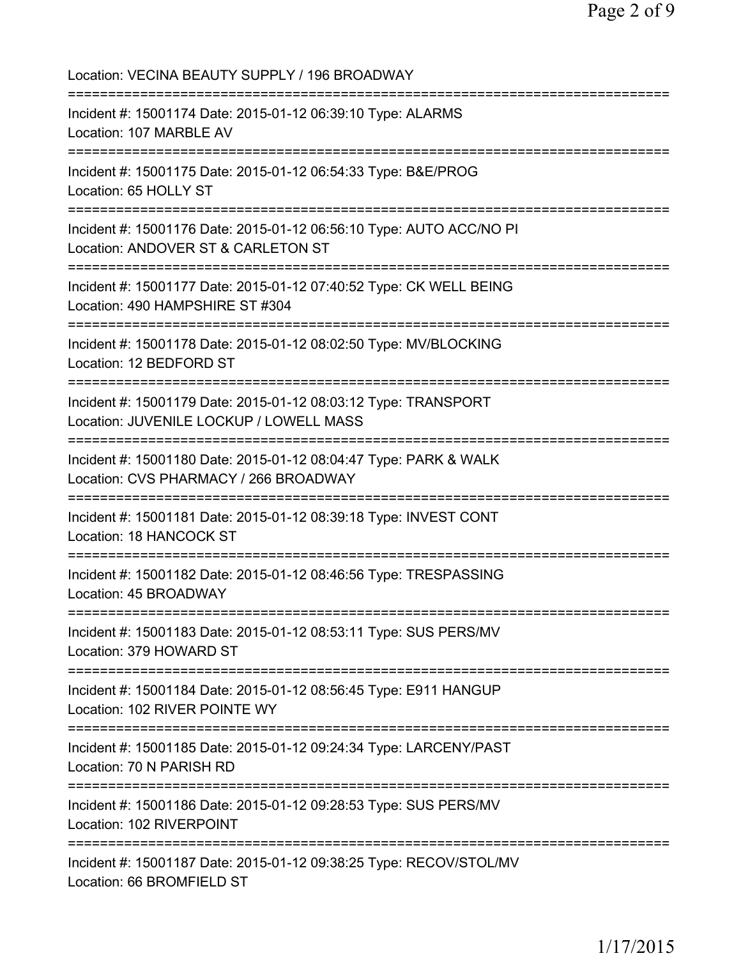| Location: VECINA BEAUTY SUPPLY / 196 BROADWAY                                                                                                 |
|-----------------------------------------------------------------------------------------------------------------------------------------------|
| Incident #: 15001174 Date: 2015-01-12 06:39:10 Type: ALARMS<br>Location: 107 MARBLE AV<br>===============================                     |
| Incident #: 15001175 Date: 2015-01-12 06:54:33 Type: B&E/PROG<br>Location: 65 HOLLY ST<br>===============================                     |
| Incident #: 15001176 Date: 2015-01-12 06:56:10 Type: AUTO ACC/NO PI<br>Location: ANDOVER ST & CARLETON ST<br>;=============================== |
| Incident #: 15001177 Date: 2015-01-12 07:40:52 Type: CK WELL BEING<br>Location: 490 HAMPSHIRE ST #304                                         |
| Incident #: 15001178 Date: 2015-01-12 08:02:50 Type: MV/BLOCKING<br>Location: 12 BEDFORD ST                                                   |
| Incident #: 15001179 Date: 2015-01-12 08:03:12 Type: TRANSPORT<br>Location: JUVENILE LOCKUP / LOWELL MASS                                     |
| Incident #: 15001180 Date: 2015-01-12 08:04:47 Type: PARK & WALK<br>Location: CVS PHARMACY / 266 BROADWAY                                     |
| ;==============================<br>Incident #: 15001181 Date: 2015-01-12 08:39:18 Type: INVEST CONT<br>Location: 18 HANCOCK ST                |
| Incident #: 15001182 Date: 2015-01-12 08:46:56 Type: TRESPASSING<br>Location: 45 BROADWAY                                                     |
| Incident #: 15001183 Date: 2015-01-12 08:53:11 Type: SUS PERS/MV<br>Location: 379 HOWARD ST                                                   |
| Incident #: 15001184 Date: 2015-01-12 08:56:45 Type: E911 HANGUP<br>Location: 102 RIVER POINTE WY                                             |
| Incident #: 15001185 Date: 2015-01-12 09:24:34 Type: LARCENY/PAST<br>Location: 70 N PARISH RD                                                 |
| ==================================<br>Incident #: 15001186 Date: 2015-01-12 09:28:53 Type: SUS PERS/MV<br>Location: 102 RIVERPOINT            |
| Incident #: 15001187 Date: 2015-01-12 09:38:25 Type: RECOV/STOL/MV<br>Location: 66 BROMFIELD ST                                               |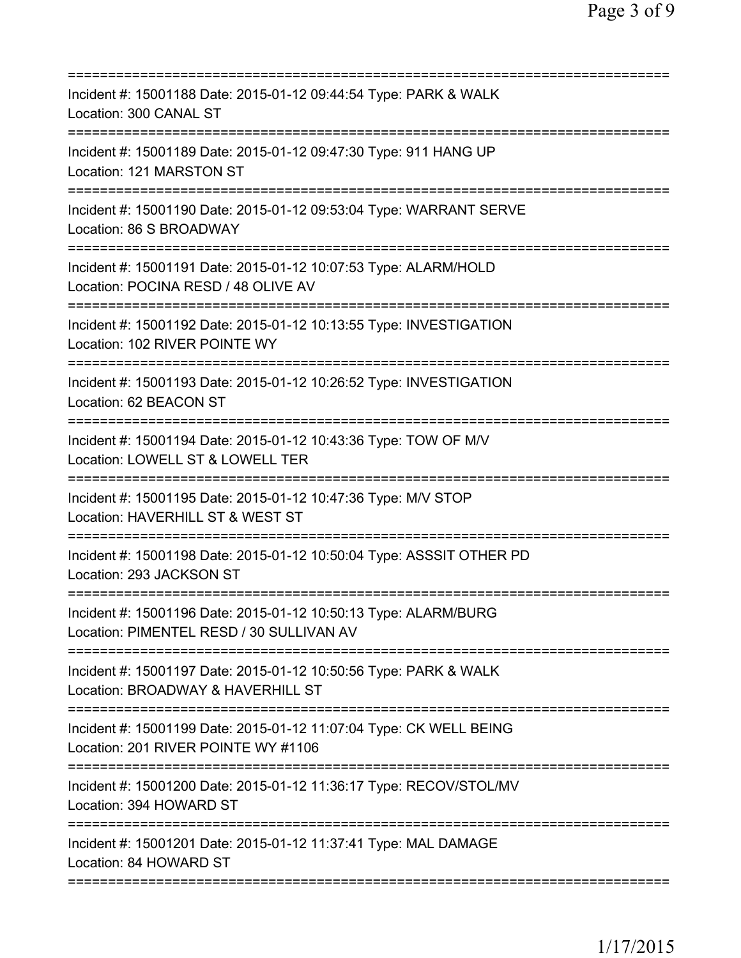| Incident #: 15001188 Date: 2015-01-12 09:44:54 Type: PARK & WALK<br>Location: 300 CANAL ST                                                          |
|-----------------------------------------------------------------------------------------------------------------------------------------------------|
| Incident #: 15001189 Date: 2015-01-12 09:47:30 Type: 911 HANG UP<br>Location: 121 MARSTON ST                                                        |
| Incident #: 15001190 Date: 2015-01-12 09:53:04 Type: WARRANT SERVE<br>Location: 86 S BROADWAY                                                       |
| Incident #: 15001191 Date: 2015-01-12 10:07:53 Type: ALARM/HOLD<br>Location: POCINA RESD / 48 OLIVE AV                                              |
| Incident #: 15001192 Date: 2015-01-12 10:13:55 Type: INVESTIGATION<br>Location: 102 RIVER POINTE WY                                                 |
| Incident #: 15001193 Date: 2015-01-12 10:26:52 Type: INVESTIGATION<br>Location: 62 BEACON ST                                                        |
| Incident #: 15001194 Date: 2015-01-12 10:43:36 Type: TOW OF M/V<br>Location: LOWELL ST & LOWELL TER<br>=========================                    |
| Incident #: 15001195 Date: 2015-01-12 10:47:36 Type: M/V STOP<br>Location: HAVERHILL ST & WEST ST                                                   |
| Incident #: 15001198 Date: 2015-01-12 10:50:04 Type: ASSSIT OTHER PD<br>Location: 293 JACKSON ST                                                    |
| Incident #: 15001196 Date: 2015-01-12 10:50:13 Type: ALARM/BURG<br>Location: PIMENTEL RESD / 30 SULLIVAN AV<br>==================================== |
| Incident #: 15001197 Date: 2015-01-12 10:50:56 Type: PARK & WALK<br>Location: BROADWAY & HAVERHILL ST                                               |
| Incident #: 15001199 Date: 2015-01-12 11:07:04 Type: CK WELL BEING<br>Location: 201 RIVER POINTE WY #1106                                           |
| Incident #: 15001200 Date: 2015-01-12 11:36:17 Type: RECOV/STOL/MV<br>Location: 394 HOWARD ST                                                       |
| Incident #: 15001201 Date: 2015-01-12 11:37:41 Type: MAL DAMAGE<br>Location: 84 HOWARD ST                                                           |
|                                                                                                                                                     |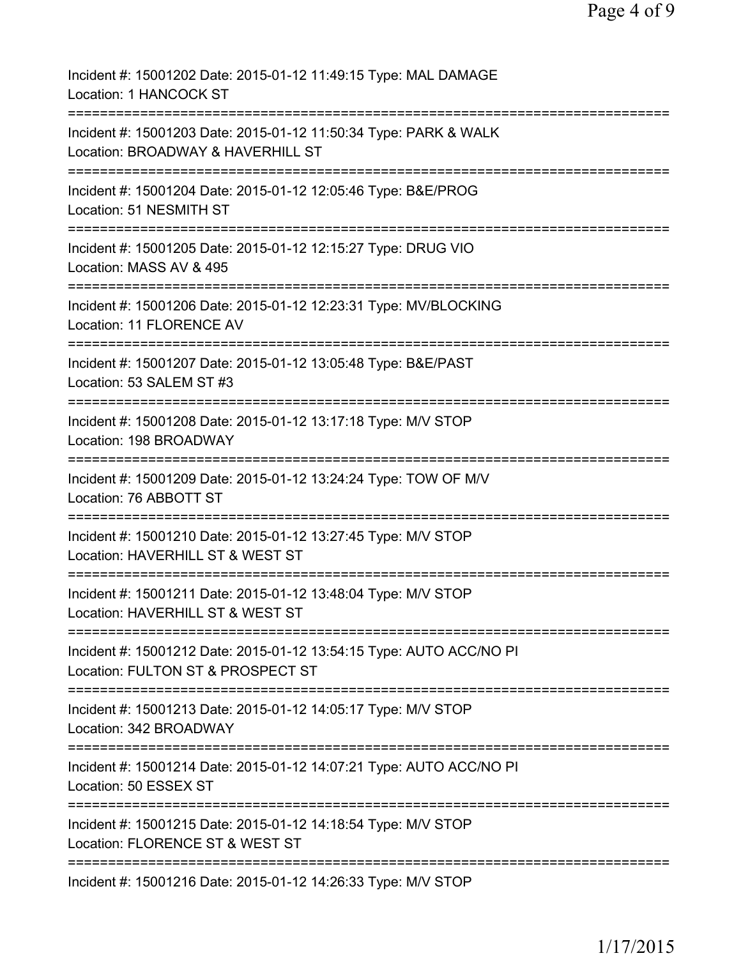| Incident #: 15001202 Date: 2015-01-12 11:49:15 Type: MAL DAMAGE<br>Location: 1 HANCOCK ST                        |
|------------------------------------------------------------------------------------------------------------------|
| Incident #: 15001203 Date: 2015-01-12 11:50:34 Type: PARK & WALK<br>Location: BROADWAY & HAVERHILL ST            |
| Incident #: 15001204 Date: 2015-01-12 12:05:46 Type: B&E/PROG<br>Location: 51 NESMITH ST                         |
| Incident #: 15001205 Date: 2015-01-12 12:15:27 Type: DRUG VIO<br>Location: MASS AV & 495                         |
| Incident #: 15001206 Date: 2015-01-12 12:23:31 Type: MV/BLOCKING<br>Location: 11 FLORENCE AV                     |
| Incident #: 15001207 Date: 2015-01-12 13:05:48 Type: B&E/PAST<br>Location: 53 SALEM ST #3                        |
| Incident #: 15001208 Date: 2015-01-12 13:17:18 Type: M/V STOP<br>Location: 198 BROADWAY                          |
| Incident #: 15001209 Date: 2015-01-12 13:24:24 Type: TOW OF M/V<br>Location: 76 ABBOTT ST                        |
| -----------<br>Incident #: 15001210 Date: 2015-01-12 13:27:45 Type: M/V STOP<br>Location: HAVERHILL ST & WEST ST |
| Incident #: 15001211 Date: 2015-01-12 13:48:04 Type: M/V STOP<br>Location: HAVERHILL ST & WEST ST                |
| Incident #: 15001212 Date: 2015-01-12 13:54:15 Type: AUTO ACC/NO PI<br>Location: FULTON ST & PROSPECT ST         |
| Incident #: 15001213 Date: 2015-01-12 14:05:17 Type: M/V STOP<br>Location: 342 BROADWAY                          |
| Incident #: 15001214 Date: 2015-01-12 14:07:21 Type: AUTO ACC/NO PI<br>Location: 50 ESSEX ST                     |
| Incident #: 15001215 Date: 2015-01-12 14:18:54 Type: M/V STOP<br>Location: FLORENCE ST & WEST ST                 |
| Incident #: 15001216 Date: 2015-01-12 14:26:33 Type: M/V STOP                                                    |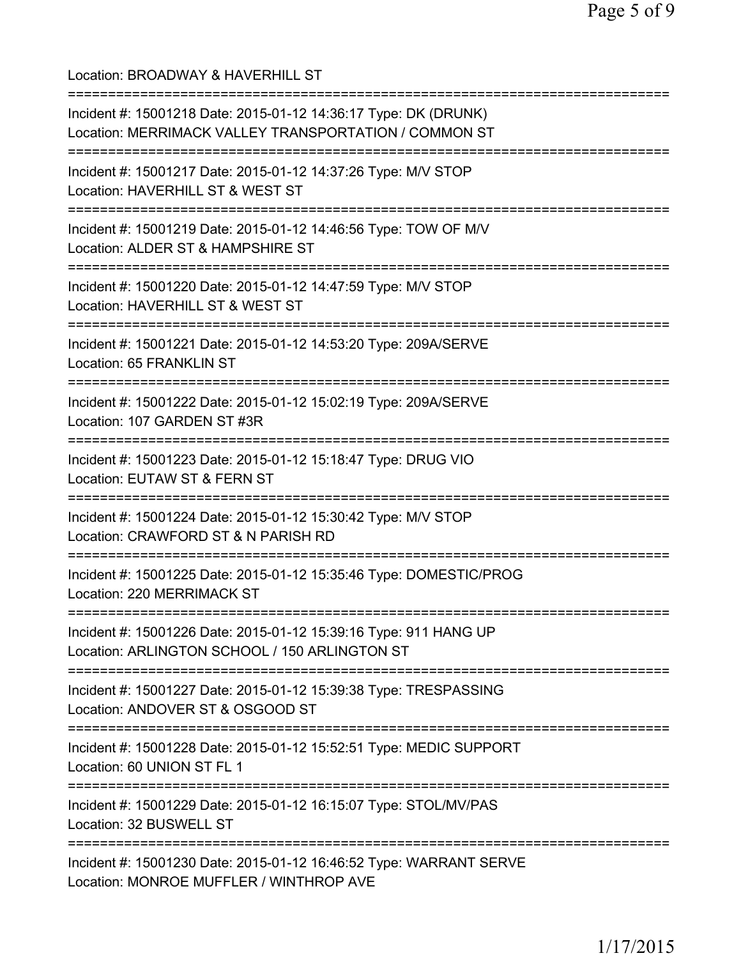Location: BROADWAY & HAVERHILL ST =========================================================================== Incident #: 15001218 Date: 2015-01-12 14:36:17 Type: DK (DRUNK) Location: MERRIMACK VALLEY TRANSPORTATION / COMMON ST =========================================================================== Incident #: 15001217 Date: 2015-01-12 14:37:26 Type: M/V STOP Location: HAVERHILL ST & WEST ST =========================================================================== Incident #: 15001219 Date: 2015-01-12 14:46:56 Type: TOW OF M/V Location: ALDER ST & HAMPSHIRE ST =========================================================================== Incident #: 15001220 Date: 2015-01-12 14:47:59 Type: M/V STOP Location: HAVERHILL ST & WEST ST =========================================================================== Incident #: 15001221 Date: 2015-01-12 14:53:20 Type: 209A/SERVE Location: 65 FRANKLIN ST =========================================================================== Incident #: 15001222 Date: 2015-01-12 15:02:19 Type: 209A/SERVE Location: 107 GARDEN ST #3R =========================================================================== Incident #: 15001223 Date: 2015-01-12 15:18:47 Type: DRUG VIO Location: EUTAW ST & FERN ST =========================================================================== Incident #: 15001224 Date: 2015-01-12 15:30:42 Type: M/V STOP Location: CRAWFORD ST & N PARISH RD =========================================================================== Incident #: 15001225 Date: 2015-01-12 15:35:46 Type: DOMESTIC/PROG Location: 220 MERRIMACK ST =========================================================================== Incident #: 15001226 Date: 2015-01-12 15:39:16 Type: 911 HANG UP Location: ARLINGTON SCHOOL / 150 ARLINGTON ST =========================================================================== Incident #: 15001227 Date: 2015-01-12 15:39:38 Type: TRESPASSING Location: ANDOVER ST & OSGOOD ST =========================================================================== Incident #: 15001228 Date: 2015-01-12 15:52:51 Type: MEDIC SUPPORT Location: 60 UNION ST FL 1 =========================================================================== Incident #: 15001229 Date: 2015-01-12 16:15:07 Type: STOL/MV/PAS Location: 32 BUSWELL ST =========================================================================== Incident #: 15001230 Date: 2015-01-12 16:46:52 Type: WARRANT SERVE Location: MONROE MUFFLER / WINTHROP AVE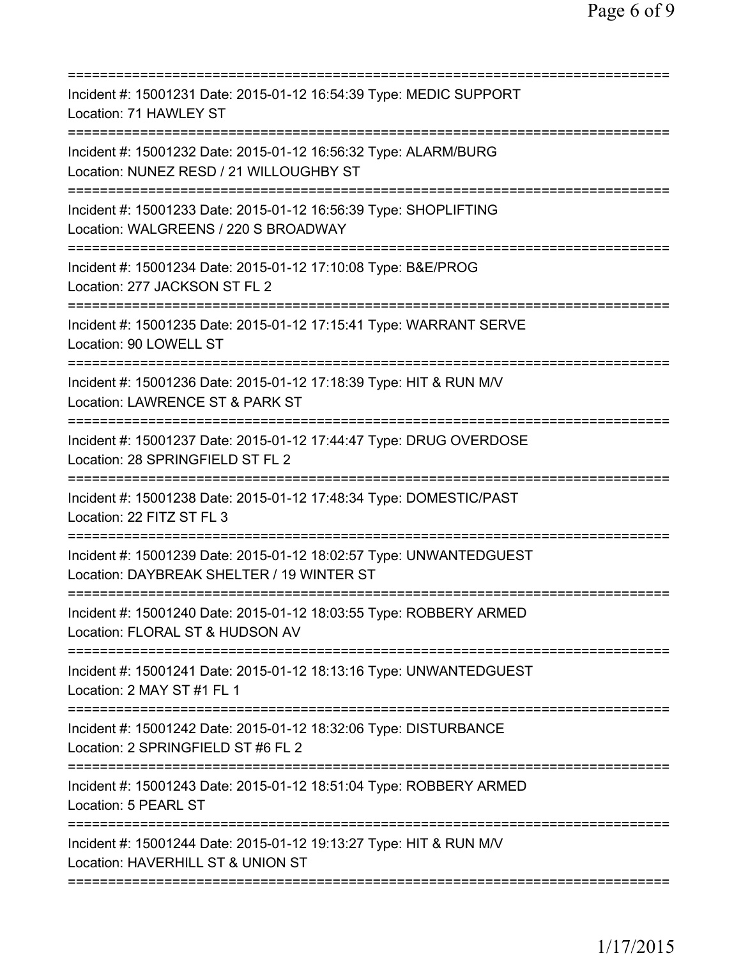| Incident #: 15001231 Date: 2015-01-12 16:54:39 Type: MEDIC SUPPORT<br>Location: 71 HAWLEY ST                                                      |
|---------------------------------------------------------------------------------------------------------------------------------------------------|
| Incident #: 15001232 Date: 2015-01-12 16:56:32 Type: ALARM/BURG<br>Location: NUNEZ RESD / 21 WILLOUGHBY ST<br>=================================== |
| Incident #: 15001233 Date: 2015-01-12 16:56:39 Type: SHOPLIFTING<br>Location: WALGREENS / 220 S BROADWAY                                          |
| Incident #: 15001234 Date: 2015-01-12 17:10:08 Type: B&E/PROG<br>Location: 277 JACKSON ST FL 2                                                    |
| Incident #: 15001235 Date: 2015-01-12 17:15:41 Type: WARRANT SERVE<br>Location: 90 LOWELL ST                                                      |
| Incident #: 15001236 Date: 2015-01-12 17:18:39 Type: HIT & RUN M/V<br>Location: LAWRENCE ST & PARK ST                                             |
| ==========================<br>Incident #: 15001237 Date: 2015-01-12 17:44:47 Type: DRUG OVERDOSE<br>Location: 28 SPRINGFIELD ST FL 2              |
| Incident #: 15001238 Date: 2015-01-12 17:48:34 Type: DOMESTIC/PAST<br>Location: 22 FITZ ST FL 3                                                   |
| Incident #: 15001239 Date: 2015-01-12 18:02:57 Type: UNWANTEDGUEST<br>Location: DAYBREAK SHELTER / 19 WINTER ST                                   |
| Incident #: 15001240 Date: 2015-01-12 18:03:55 Type: ROBBERY ARMED<br>Location: FLORAL ST & HUDSON AV                                             |
| Incident #: 15001241 Date: 2015-01-12 18:13:16 Type: UNWANTEDGUEST<br>Location: 2 MAY ST #1 FL 1                                                  |
| Incident #: 15001242 Date: 2015-01-12 18:32:06 Type: DISTURBANCE<br>Location: 2 SPRINGFIELD ST #6 FL 2                                            |
| Incident #: 15001243 Date: 2015-01-12 18:51:04 Type: ROBBERY ARMED<br>Location: 5 PEARL ST                                                        |
| Incident #: 15001244 Date: 2015-01-12 19:13:27 Type: HIT & RUN M/V<br>Location: HAVERHILL ST & UNION ST                                           |
|                                                                                                                                                   |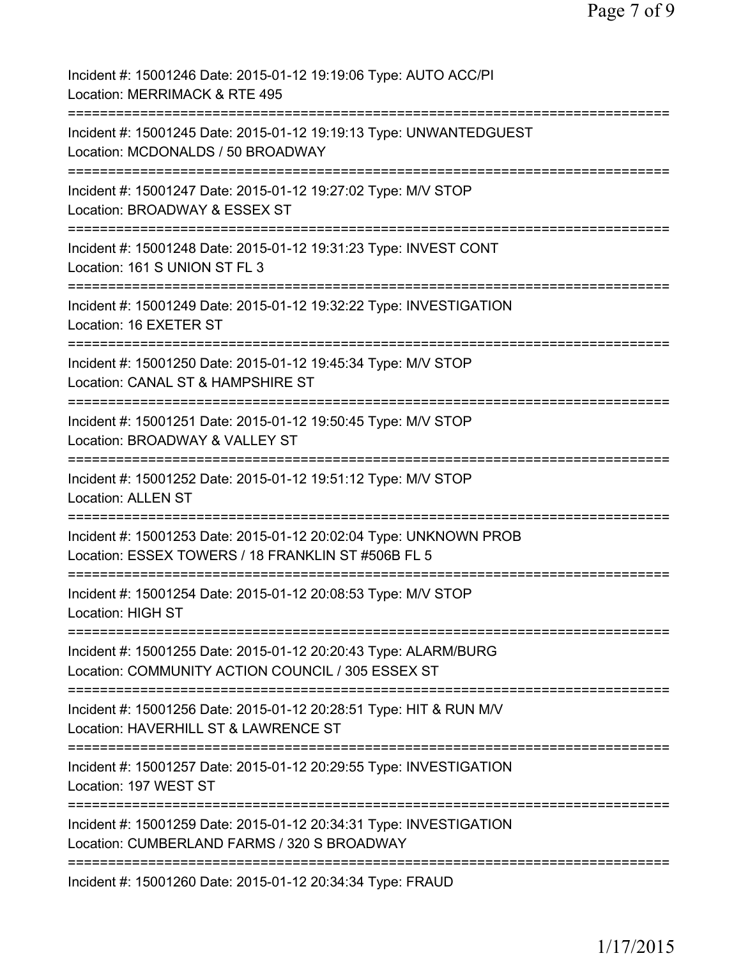| Incident #: 15001246 Date: 2015-01-12 19:19:06 Type: AUTO ACC/PI<br>Location: MERRIMACK & RTE 495                                                        |
|----------------------------------------------------------------------------------------------------------------------------------------------------------|
| Incident #: 15001245 Date: 2015-01-12 19:19:13 Type: UNWANTEDGUEST<br>Location: MCDONALDS / 50 BROADWAY                                                  |
| Incident #: 15001247 Date: 2015-01-12 19:27:02 Type: M/V STOP<br>Location: BROADWAY & ESSEX ST                                                           |
| Incident #: 15001248 Date: 2015-01-12 19:31:23 Type: INVEST CONT<br>Location: 161 S UNION ST FL 3                                                        |
| Incident #: 15001249 Date: 2015-01-12 19:32:22 Type: INVESTIGATION<br>Location: 16 EXETER ST                                                             |
| Incident #: 15001250 Date: 2015-01-12 19:45:34 Type: M/V STOP<br>Location: CANAL ST & HAMPSHIRE ST<br>================                                   |
| Incident #: 15001251 Date: 2015-01-12 19:50:45 Type: M/V STOP<br>Location: BROADWAY & VALLEY ST                                                          |
| Incident #: 15001252 Date: 2015-01-12 19:51:12 Type: M/V STOP<br><b>Location: ALLEN ST</b>                                                               |
| :============================<br>Incident #: 15001253 Date: 2015-01-12 20:02:04 Type: UNKNOWN PROB<br>Location: ESSEX TOWERS / 18 FRANKLIN ST #506B FL 5 |
| Incident #: 15001254 Date: 2015-01-12 20:08:53 Type: M/V STOP<br><b>Location: HIGH ST</b>                                                                |
| Incident #: 15001255 Date: 2015-01-12 20:20:43 Type: ALARM/BURG<br>Location: COMMUNITY ACTION COUNCIL / 305 ESSEX ST                                     |
| Incident #: 15001256 Date: 2015-01-12 20:28:51 Type: HIT & RUN M/V<br>Location: HAVERHILL ST & LAWRENCE ST                                               |
| Incident #: 15001257 Date: 2015-01-12 20:29:55 Type: INVESTIGATION<br>Location: 197 WEST ST                                                              |
| Incident #: 15001259 Date: 2015-01-12 20:34:31 Type: INVESTIGATION<br>Location: CUMBERLAND FARMS / 320 S BROADWAY                                        |
| Incident #: 15001260 Date: 2015-01-12 20:34:34 Type: FRAUD                                                                                               |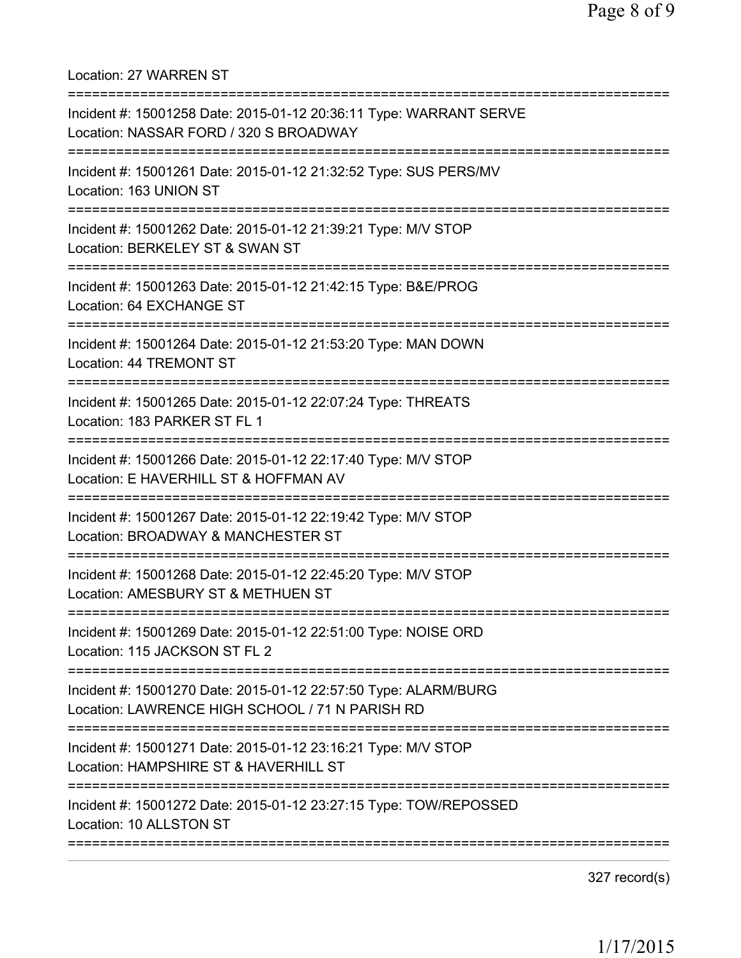Location: 27 WARREN ST =========================================================================== Incident #: 15001258 Date: 2015-01-12 20:36:11 Type: WARRANT SERVE Location: NASSAR FORD / 320 S BROADWAY =========================================================================== Incident #: 15001261 Date: 2015-01-12 21:32:52 Type: SUS PERS/MV Location: 163 UNION ST =========================================================================== Incident #: 15001262 Date: 2015-01-12 21:39:21 Type: M/V STOP Location: BERKELEY ST & SWAN ST =========================================================================== Incident #: 15001263 Date: 2015-01-12 21:42:15 Type: B&E/PROG Location: 64 EXCHANGE ST =========================================================================== Incident #: 15001264 Date: 2015-01-12 21:53:20 Type: MAN DOWN Location: 44 TREMONT ST =========================================================================== Incident #: 15001265 Date: 2015-01-12 22:07:24 Type: THREATS Location: 183 PARKER ST FL 1 =========================================================================== Incident #: 15001266 Date: 2015-01-12 22:17:40 Type: M/V STOP Location: E HAVERHILL ST & HOFFMAN AV =========================================================================== Incident #: 15001267 Date: 2015-01-12 22:19:42 Type: M/V STOP Location: BROADWAY & MANCHESTER ST =========================================================================== Incident #: 15001268 Date: 2015-01-12 22:45:20 Type: M/V STOP Location: AMESBURY ST & METHUEN ST =========================================================================== Incident #: 15001269 Date: 2015-01-12 22:51:00 Type: NOISE ORD Location: 115 JACKSON ST FL 2 =========================================================================== Incident #: 15001270 Date: 2015-01-12 22:57:50 Type: ALARM/BURG Location: LAWRENCE HIGH SCHOOL / 71 N PARISH RD =========================================================================== Incident #: 15001271 Date: 2015-01-12 23:16:21 Type: M/V STOP Location: HAMPSHIRE ST & HAVERHILL ST =========================================================================== Incident #: 15001272 Date: 2015-01-12 23:27:15 Type: TOW/REPOSSED Location: 10 ALLSTON ST ===========================================================================

327 record(s)